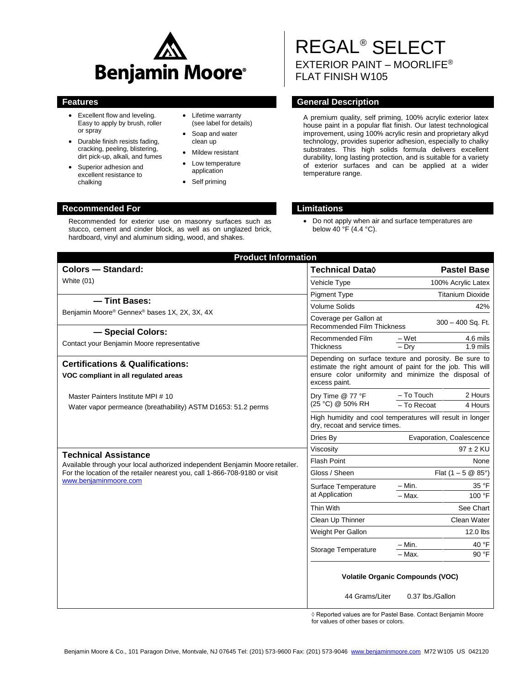

Recommended for exterior use on masonry surfaces such as stucco, cement and cinder block, as well as on unglazed brick, hardboard, vinyl and aluminum siding, wood, and shakes.

- Excellent flow and leveling. Easy to apply by brush, roller or spray
- Durable finish resists fading, cracking, peeling, blistering, dirt pick-up, alkali, and fumes
- Superior adhesion and excellent resistance to chalking
- Lifetime warranty (see label for details)
- Soap and water clean up
- Mildew resistant
- Low temperature application
- Self priming

# REGAL® SELECT EXTERIOR PAINT – MOORLIFE® FLAT FINISH W105

# **Features General Description**

A premium quality, self priming, 100% acrylic exterior latex house paint in a popular flat finish. Our latest technological improvement, using 100% acrylic resin and proprietary alkyd technology, provides superior adhesion, especially to chalky substrates. This high solids formula delivers excellent durability, long lasting protection, and is suitable for a variety of exterior surfaces and can be applied at a wider temperature range.

### **Recommended For Limitations**

 Do not apply when air and surface temperatures are below 40  $\cdot$  F (4.4  $\cdot$  C).

| <b>Product Information</b>                                                                         |                                                                                                                                                                                             |                                                 |  |
|----------------------------------------------------------------------------------------------------|---------------------------------------------------------------------------------------------------------------------------------------------------------------------------------------------|-------------------------------------------------|--|
| <b>Colors - Standard:</b>                                                                          | <b>Technical Data</b> ♦                                                                                                                                                                     | <b>Pastel Base</b>                              |  |
| White (01)                                                                                         | Vehicle Type                                                                                                                                                                                | 100% Acrylic Latex                              |  |
|                                                                                                    | <b>Pigment Type</b>                                                                                                                                                                         | <b>Titanium Dioxide</b>                         |  |
| - Tint Bases:                                                                                      | <b>Volume Solids</b>                                                                                                                                                                        | 42%                                             |  |
| Benjamin Moore® Gennex® bases 1X, 2X, 3X, 4X                                                       | Coverage per Gallon at<br><b>Recommended Film Thickness</b>                                                                                                                                 | 300 - 400 Sq. Ft.                               |  |
| - Special Colors:<br>Contact your Benjamin Moore representative                                    | Recommended Film<br><b>Thickness</b>                                                                                                                                                        | – Wet<br>4.6 mils<br>$-$ Dry<br>$1.9$ mils      |  |
| <b>Certifications &amp; Qualifications:</b><br>VOC compliant in all regulated areas                | Depending on surface texture and porosity. Be sure to<br>estimate the right amount of paint for the job. This will<br>ensure color uniformity and minimize the disposal of<br>excess paint. |                                                 |  |
| Master Painters Institute MPI # 10<br>Water vapor permeance (breathability) ASTM D1653: 51.2 perms | Dry Time @ 77 °F<br>(25 °C) @ 50% RH                                                                                                                                                        | - To Touch<br>2 Hours<br>- To Recoat<br>4 Hours |  |
|                                                                                                    | High humidity and cool temperatures will result in longer<br>dry, recoat and service times.                                                                                                 |                                                 |  |
|                                                                                                    | Dries By                                                                                                                                                                                    | Evaporation, Coalescence                        |  |
| <b>Technical Assistance</b>                                                                        | Viscosity                                                                                                                                                                                   | $97 \pm 2$ KU                                   |  |
| Available through your local authorized independent Benjamin Moore retailer.                       | <b>Flash Point</b>                                                                                                                                                                          | None                                            |  |
| For the location of the retailer nearest you, call 1-866-708-9180 or visit                         | Gloss / Sheen                                                                                                                                                                               | Flat $(1 - 5 \& 85^{\circ})$                    |  |
| www.benjaminmoore.com                                                                              | Surface Temperature                                                                                                                                                                         | $-$ Min.<br>35 °F                               |  |
|                                                                                                    | at Application                                                                                                                                                                              | $-$ Max.<br>100 °F                              |  |
|                                                                                                    | Thin With                                                                                                                                                                                   | See Chart                                       |  |
|                                                                                                    | Clean Up Thinner                                                                                                                                                                            | Clean Water                                     |  |
|                                                                                                    | Weight Per Gallon                                                                                                                                                                           | 12.0 lbs                                        |  |
| Storage Temperature                                                                                |                                                                                                                                                                                             | 40 °F<br>$-$ Min.                               |  |
|                                                                                                    |                                                                                                                                                                                             | 90 °F<br>$-$ Max.                               |  |
|                                                                                                    | <b>Volatile Organic Compounds (VOC)</b><br>44 Grams/Liter<br>0.37 lbs./Gallon                                                                                                               |                                                 |  |
|                                                                                                    |                                                                                                                                                                                             |                                                 |  |

◊ Reported values are for Pastel Base. Contact Benjamin Moore for values of other bases or colors.